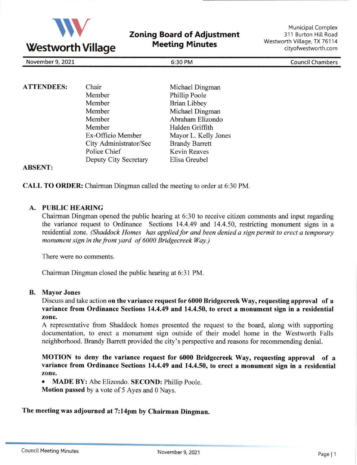

Zoning Board of Adjustment Meeting Minutes

Municipal Complex 311 Burton Hill Road Westworth Village, TX 76114 cityofwestworth.com

November 9,2027 6:30 PM CouncilChambers

| <b>ATTENDEES:</b> | Chair                  |
|-------------------|------------------------|
|                   | Member                 |
|                   | Member                 |
|                   | Member                 |
|                   | Member                 |
|                   | Member                 |
|                   | Ex-Officio Member      |
|                   | City Administrator/Sec |
|                   | Police Chief           |
|                   | Deputy City Secretary  |
|                   |                        |

Michael Dingman Phillip Poole Brian Libbey Michael Dingman Abraham Elizondo Halden Griffith Mayor L. Kelly Jones Brandy Barrett Kevin Reaves Elisa Greubel

## ABSENT:

CALL TO ORDER: Chairman Dingman called the meeting to order at 6:30 PM.

## A. PUBLIC HEARING

Chairman Dingman opened the public hearing at 6:30 to receive citizen comments and input regarding the variance request to Ordinance Sections 14.4.49 and 14.4.50, restricting monument signs in <sup>a</sup> residential zone. (Shaddock Homes has applied for and been denied a sign permit to erect a temporary monument sign in the front yard of 6000 Bridgecreek Way.)

There were no comments.

Chairman Dingman closed the public hearing at 6:31 PM.

## B. Mayor Jones

Discuss and take action on the variance request for 6000 Bridgecreek Way, requesting approval of a variance from Ordinance Sections 14.4,49 and 14.4.50, to erect a monument sign in a residential zone.

A representative from Shaddock homes presented the request to the board, along with supporting documentation, to erect a monument sign outside of their model home in the Westworth Falls neighborhood. Brandy Barrett provided the city's perspective and reasons for recommending denial.

MOTION to deny the variance request for 6000 Bridgecreek Way, requesting approval of <sup>a</sup> variance from Ordinance Sections 14.4.49 and 14.4.50, to erect a monument sign in a residential zone.

o MADE BY: Abe Elizondo. SECOND: Phillip Poole.

Motion passed by a vote of 5 Ayes and 0 Nays.

## The meeting was adjourned at 7:14pm by Chairman Dingman.